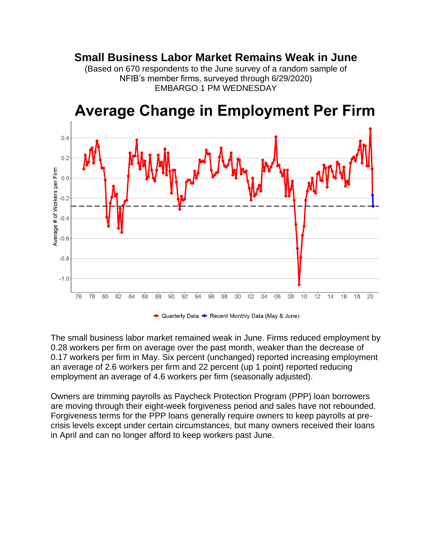## **Small Business Labor Market Remains Weak in June**

(Based on 670 respondents to the June survey of a random sample of NFIB's member firms, surveyed through 6/29/2020) EMBARGO 1 PM WEDNESDAY



## **Average Change in Employment Per Firm**

← Quarterly Data ← Recent Monthly Data (May & June)

The small business labor market remained weak in June. Firms reduced employment by 0.28 workers per firm on average over the past month, weaker than the decrease of 0.17 workers per firm in May. Six percent (unchanged) reported increasing employment an average of 2.6 workers per firm and 22 percent (up 1 point) reported reducing employment an average of 4.6 workers per firm (seasonally adjusted).

Owners are trimming payrolls as Paycheck Protection Program (PPP) loan borrowers are moving through their eight-week forgiveness period and sales have not rebounded. Forgiveness terms for the PPP loans generally require owners to keep payrolls at precrisis levels except under certain circumstances, but many owners received their loans in April and can no longer afford to keep workers past June.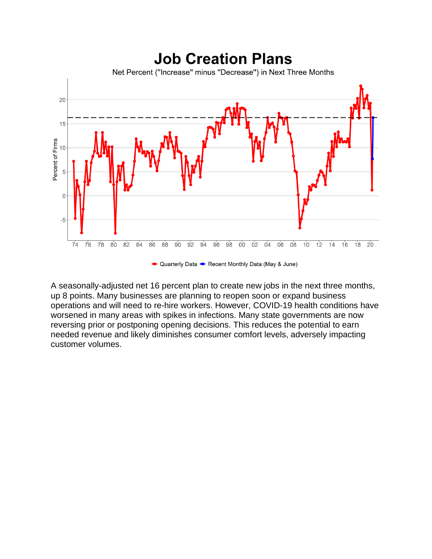

A seasonally-adjusted net 16 percent plan to create new jobs in the next three months, up 8 points. Many businesses are planning to reopen soon or expand business operations and will need to re-hire workers. However, COVID-19 health conditions have worsened in many areas with spikes in infections. Many state governments are now reversing prior or postponing opening decisions. This reduces the potential to earn needed revenue and likely diminishes consumer comfort levels, adversely impacting customer volumes.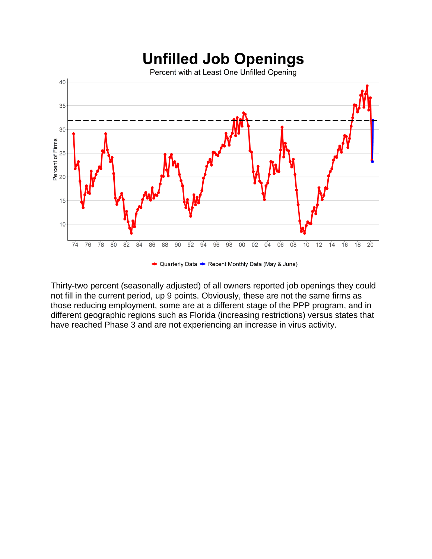

Thirty-two percent (seasonally adjusted) of all owners reported job openings they could not fill in the current period, up 9 points. Obviously, these are not the same firms as those reducing employment, some are at a different stage of the PPP program, and in different geographic regions such as Florida (increasing restrictions) versus states that have reached Phase 3 and are not experiencing an increase in virus activity.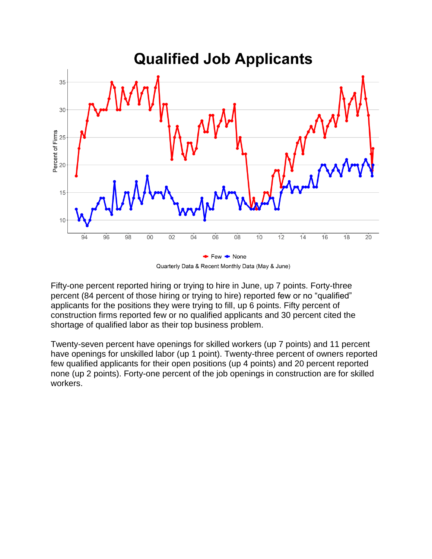

Quarterly Data & Recent Monthly Data (May & June)

Fifty-one percent reported hiring or trying to hire in June, up 7 points. Forty-three percent (84 percent of those hiring or trying to hire) reported few or no "qualified" applicants for the positions they were trying to fill, up 6 points. Fifty percent of construction firms reported few or no qualified applicants and 30 percent cited the shortage of qualified labor as their top business problem.

Twenty-seven percent have openings for skilled workers (up 7 points) and 11 percent have openings for unskilled labor (up 1 point). Twenty-three percent of owners reported few qualified applicants for their open positions (up 4 points) and 20 percent reported none (up 2 points). Forty-one percent of the job openings in construction are for skilled workers.